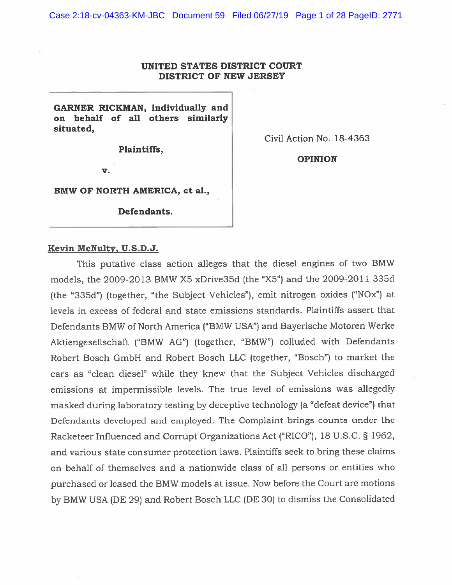### UNITED STATES DISTRICT COURT DISTRICT OF NEW JERSEY

GARNER RICKMAN, individually and on behalf of all others similarly situated,

Plaintiffs,

Civil Action No. 18-4363

V.

OPINION

BMW OF NORTH AMERICA, et al.,

Defendants.

#### Kevin McNulty, U.S.D.J.

This putative class action alleges that the diesel engines of two BMW models, the 2009-2013 BMW X5 xDrive35d (the "X5") and the 2009-2011 335d (the "335d") (together, "the Subject Vehicles"), emit nitrogen oxides ("NOx") at levels in excess of federal and state emissions standards. Plaintiffs assert that Defendants BMW of North America ("BMW USA") and Bayerische Motoren Werke Aktiengesellschaft ("BMW AG") (together, "BMW") colluded with Defendants Robert Bosch GmbH and Robert Bosch LLC (together, "Bosch") to market the cars as "clean diesel" while they knew that the Subject Vehicles discharged emissions at impermissible levels. The true level of emissions was allegedly masked during laboratory testing by deceptive technology (a "defeat device") that Defendants developed and employed. The Complaint brings counts under the Racketeer Influenced and Corrupt Organizations Act ("RICO"), <sup>18</sup> U.S.C. § 1962, and various state consumer protection laws. Plaintiffs seek to bring these claims on behalf of themselves and <sup>a</sup> nationwide class of all persons or entities who purchased or leased the BMW models at issue. Now before the Court are motions by BMW USA (DE 29) and Robert Bosch LLC (DE 30) to dismiss the Consolidated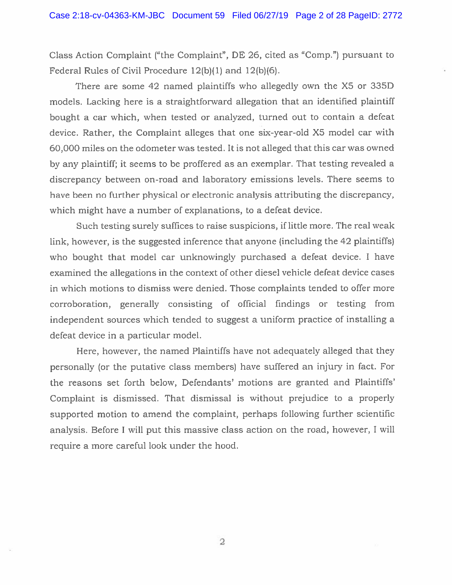Class Action Complaint ("the Complaint", DE 26, cited as "Comp.") pursuan<sup>t</sup> to Federal Rules of Civil Procedure 12(b)(1) and 12(b)(6).

There are some 42 named plaintiffs who allegedly own the X5 or 335D models. Lacking here is <sup>a</sup> straightforward allegation that an identified <sup>p</sup>laintiff bought <sup>a</sup> car which. when tested or analyzed, turned out to contain <sup>a</sup> defeat device. Rather, the Complaint alleges that one six-year-old X5 model car with 60,000 miles on the odometer was tested. It is not alleged that this car was owned by any plaintiff; it seems to be proffered as an exemplar. That testing revealed <sup>a</sup> discrepancy between on-road and laboratory emissions levels. There seems to have been no further physical or electronic analysis attributing the discrepancy, which might have <sup>a</sup> number of explanations, to <sup>a</sup> defeat device.

Such testing surely suffices to raise suspicions, if little more. The real weak link, however, is the suggested inference that anyone (including the 42 plaintiffs) who bought that model car unknowingly purchased <sup>a</sup> defeat device. <sup>I</sup> have examined the allegations in the context of other diesel vehicle defeat device cases in which motions to dismiss were denied. Those complaints tended to offer more corroboration, generally consisting of official findings or testing from independent sources which tended to sugges<sup>t</sup> <sup>a</sup> uniform practice of installing <sup>a</sup> defeat device in <sup>a</sup> particular model.

Here, however, the named Plaintiffs have not adequately alleged that they personally (or the putative class members) have suffered an injury in fact. For the reasons set forth below, Defendants' motions are granted and Plaintiffs' Complaint is dismissed. That dismissal is without prejudice to <sup>a</sup> properly supported motion to amend the complaint, perhaps following further scientific analysis. Before <sup>I</sup> will pu<sup>t</sup> this massive class action on the road, however, <sup>I</sup> will require <sup>a</sup> more careful look under the hood.

2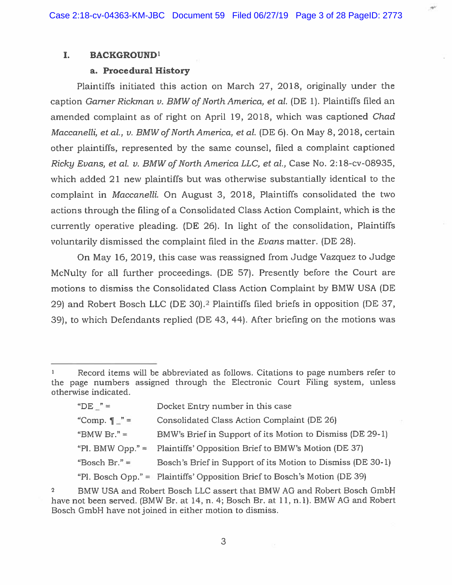#### I. BACKGROUND'

#### a. Procedural History

Plaintiffs initiated this action on March 27, 2018, originally under the caption Gamer Rickman v. BMW of North America, et al. (DE 1). Plaintiffs filed an amended complaint as of right on April 19, 2018, which was captioned Chad Maccanelli, et al., v. BMW of North America, et al. (DE 6). On May 8, 2018, certain other <sup>p</sup>laintiffs, represented by the same counsel, filed <sup>a</sup> complaint captioned Ricky Evans, et al. v. BMW of North America LLC, et al., Case No. 2:18-cv-08935, which added 21 new plaintiffs but was otherwise substantially identical to the complaint in Maccanelli. On August 3, 2018, Plaintiffs consolidated the two actions through the filing of <sup>a</sup> Consolidated Class Action Complaint, which is the currently operative pleading. (DE 26). In light of the consolidation, Plaintiffs voluntarily dismissed the complaint filed in the Evans matter. (DE 28).

On May 16, 2019, this case was reassigned from Judge Vazquez to Judge McNulty for all further proceedings. (DE 57). Presently before the Court are motions to dismiss the Consolidated Class Action Complaint by BMW USA (DE 29) and Robert Bosch LLC (DE 30).2 Plaintiffs filed briefs in opposition (DE 37, 39), to which Defendants replied (DE 43, 44). After briefing on the motions was

| "DE $"$ =               | Docket Entry number in this case                                          |
|-------------------------|---------------------------------------------------------------------------|
| "Comp. $\P$ $\degree$ = | Consolidated Class Action Complaint (DE 26)                               |
| "BMW Br." $=$           | BMW's Brief in Support of its Motion to Dismiss (DE 29-1)                 |
| "Pl. BMW Opp." $=$      | Plaintiffs' Opposition Brief to BMW's Motion (DE 37)                      |
| "Bosch Br." $=$         | Bosch's Brief in Support of its Motion to Dismiss (DE 30-1)               |
|                         | "Pl. Bosch Opp." = Plaintiffs' Opposition Brief to Bosch's Motion (DE 39) |

Record items will be abbreviated as follows. Citations to page numbers refer to the page numbers assigned through the Electronic Court Filing system, unless otherwise indicated.

<sup>2</sup> BMW USA and Robert Bosch LLC assert that BMW AG and Robert Bosch GmbH have not been served. (BMW Br. at 14, n. 4; Bosch Br. at 11, n. 1). BMW AG and Robert Bosch GmbH have not joined in either motion to dismiss.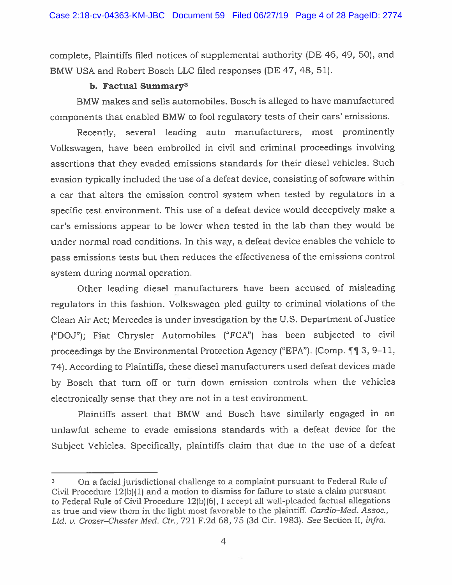complete, Plaintiffs filed notices of supplemental authority (DE 46, 49, 50), and BMW USA and Robert Bosch LLC filed responses (DE 47, 48, 51).

# b. Factual Summary3

BMW makes and sells automobiles. Bosch is alleged to have manufactured components that enabled BMW to fool regulatory tests of their cars' emissions.

Recently, several leading auto manufacturers, most prominently Volkswagen, have been embroiled in civil and criminal proceedings involving assertions that they evaded emissions standards for their diesel vehicles. Such evasion typically included the use of <sup>a</sup> defeat device, consisting of software within <sup>a</sup> car that alters the emission control system when tested by regulators in <sup>a</sup> specific test environment. This use of <sup>a</sup> defeat device would deceptively make <sup>a</sup> car's emissions appear to be lower when tested in the lab than they would be under normal road conditions. In this way, <sup>a</sup> defeat device enables the vehicle to pass emissions tests but then reduces the effectiveness of the emissions control system during normal operation.

Other leading diesel manufacturers have been accused of misleading regulators in this fashion. Volkswagen <sup>p</sup>led guilty to criminal violations of the Clean Air Act; Mercedes is under investigation by the U.S. Department of Justice ("DOJ"); Fiat Chrysler Automobiles ("FCA") has been subjected to civil proceedings by the Environmental Protection Agency ("EPA"). (Comp.  $\P\P$  3, 9-11, 74). According to Plaintiffs, these diesel manufacturers used defeat devices made by Bosch that turn off or turn down emission controls when the vehicles electronically sense that they are not in <sup>a</sup> test environment.

Plaintiffs assert that BMW and Bosch have similarly engaged in an unlawful scheme to evade emissions standards with <sup>a</sup> defeat device for the Subject Vehicles. Specifically, <sup>p</sup>laintiffs claim that due to the use of <sup>a</sup> defeat

<sup>3</sup> On <sup>a</sup> facial jurisdictional challenge to <sup>a</sup> complaint pursuan<sup>t</sup> to Federal Rule of Civil Procedure 12(b)(l) and <sup>a</sup> motion to dismiss for failure to state <sup>a</sup> claim pursuan<sup>t</sup> to Federal Rule of Civil Procedure 12(b)(6), <sup>I</sup> accep<sup>t</sup> all well-pleaded factual allegations as true and view them in the light most favorable to the plaintiff. Cardio—Med. Assoc., Ltd. v. Crozer—Chester Med. Ctr., 721 F.2d 68, 75 (3d Cir. 1983). See Section II, infra.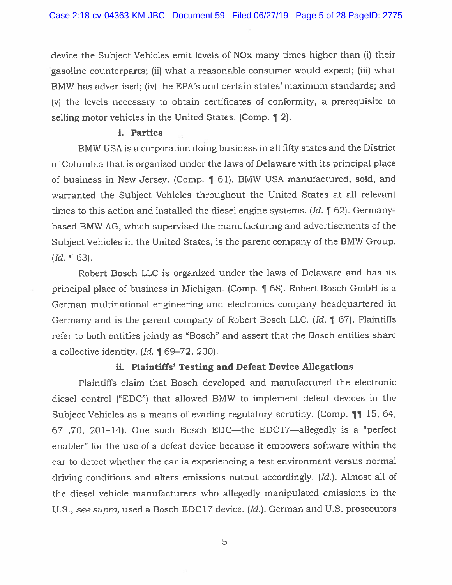device the Subject Vehicles emit levels of NOx many times higher than (i) their gasoline counterparts; (ii) what <sup>a</sup> reasonable consumer would expect; (iii) what BMW has advertised; (iv) the EPA's and certain states' maximum standards; and (v) the levels necessary to obtain certificates of conformity, <sup>a</sup> prerequisite to selling motor vehicles in the United States. (Comp. ¶ 2).

#### i. Parties

BMW USA is <sup>a</sup> corporation doing business in all fifty states and the District of Columbia that is organized under the laws of Delaware with its principal <sup>p</sup>lace of business in New Jersey. (Comp. ¶ 61). BMW USA manufactured, sold, and warranted the Subject Vehicles throughout the United States at all relevant times to this action and installed the diesel engine systems. (Id.  $\P$  62). Germanybased BMW AG, which supervised the manufacturing and advertisements of the Subject Vehicles in the United States, is the paren<sup>t</sup> company of the BMW Group.  $(Id. \, \P \, 63)$ .

Robert Bosch LLC is organized under the laws of Delaware and has its principal <sup>p</sup>lace of business in Michigan. (Comp. 9 68). Robert Bosch GmbH is <sup>a</sup> German multinational engineering and electronics company headquartered in Germany and is the paren<sup>t</sup> company of Robert Bosch LLC. (Id. ¶ 67). Plaintiffs refer to both entities jointly as "Bosch" and assert that the Bosch entities share a collective identity.  $Id. \parallel 69-72, 230$ .

### ii. Plaintiffs' Testing and Defeat Device Allegations

Plaintiffs claim that Bosch developed and manufactured the electronic diesel control ("EDC") that allowed BMW to implement defeat devices in the Subject Vehicles as a means of evading regulatory scrutiny. (Comp. ¶¶ 15, 64, 67 ,70, 201—14). One such Bosch EDC—the EDC17—allegedly is <sup>a</sup> "perfect enabler" for the use of <sup>a</sup> defeat device because it empowers software within the car to detect whether the car is experiencing <sup>a</sup> test environment versus normal driving conditions and alters emissions output accordingly. (Id.). Almost all of the diesel vehicle manufacturers who allegedly manipulated emissions in the U.S., see supra, used <sup>a</sup> Bosch EDC17 device. (Id.). German and U.S. prosecutors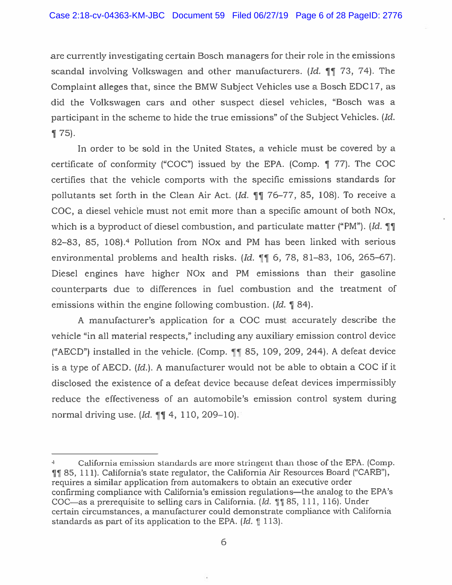are currently investigating certain Bosch managers for their role in the emissions scandal involving Volkswagen and other manufacturers.  $Id. \P \P$  73, 74). The Complaint alleges that, since the BMW Subject Vehicles use <sup>a</sup> Bosch EDC17, as did the Volkswagen cars and other suspec<sup>t</sup> diesel vehicles, "Bosch was <sup>a</sup> participant in the scheme to hide the true emissions" of the Subject Vehicles. (Id. ¶ 75).

In order to be sold in the United States, <sup>a</sup> vehicle must be covered by <sup>a</sup> certificate of conformity ("COC") issued by the EPA. (Comp. ¶ 77). The COC certifies that the vehicle comports with the specific emissions standards for pollutants set forth in the Clean Air Act. (Id.  $\P$  $\P$  76–77, 85, 108). To receive a COC, <sup>a</sup> diesel vehicle must not emit more than <sup>a</sup> specific amount of both NOx, which is a byproduct of diesel combustion, and particulate matter ("PM"). *[Id.*  $\P\P$ 82–83, 85, 108).<sup>4</sup> Pollution from NO<sub>x</sub> and PM has been linked with serious environmental problems and health risks. (Id.  $\P\P$  6, 78, 81–83, 106, 265–67). Diesel engines have higher NOx and PM emissions than their gasoline counterparts due to differences in fuel combustion and the treatment of emissions within the engine following combustion. (Id. 184).

A manufacturer's application for <sup>a</sup> COC must accurately describe the vehicle "in all material respects," including any auxiliary emission control device ("AECD") installed in the vehicle. (Comp.  $\blacksquare$  85, 109, 209, 244). A defeat device is <sup>a</sup> type of AECD. (Id.). <sup>A</sup> manufacturer would not be able to obtain <sup>a</sup> COC if it disclosed the existence of <sup>a</sup> defeat device because defeat devices impermissibly reduce the effectiveness of an automobile's emission control system during normal driving use. (*Id.*  $\P\P$  4, 110, 209–10).

California emission standards are more stringent than those of the EPA. (Comp. 9 85, 111). California's state regulator, the California Air Resources Board ("CARB"). requires <sup>a</sup> similar application from automakers to obtain an executive order confirming compliance with California's emission regulations—the analog to the EPA's COC—as a prerequisite to selling cars in California. (Id.  $\parallel \parallel$  85, 111, 116). Under certain circumstances, <sup>a</sup> manufacturer could demonstrate compliance with California standards as part of its application to the EPA. (Id. ¶ 113).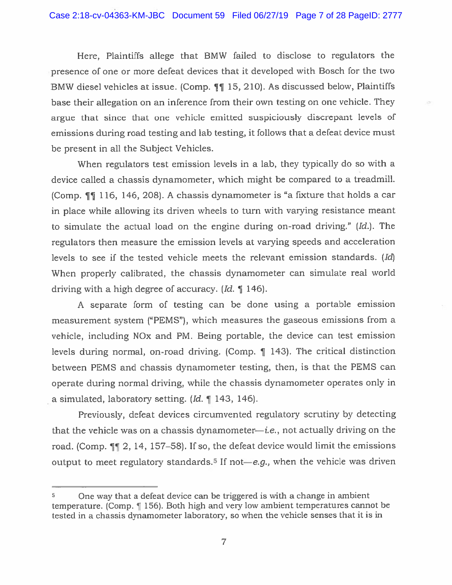Here, Plaintiffs allege that BMW failed to disclose to regulators the presence of one or more defeat devices that it developed with Bosch for the two BMW diesel vehicles at issue. (Comp. 11 15, 210). As discussed below, Plaintiffs base their allegation on an inference from their own testing on one vehicle. They argue that since that one vehicle emitted suspiciously discrepant levels of emissions during road testing and lab testing, it follows that <sup>a</sup> defeat device must be presen<sup>t</sup> in all the Subject Vehicles.

When regulators test emission levels in <sup>a</sup> lab, they typically do so with <sup>a</sup> device called <sup>a</sup> chassis dynamometer, which might be compared to <sup>a</sup> treadmill. (Comp. ¶ 116, 146, 208). <sup>A</sup> chassis dynamometer is "a fixture that holds <sup>a</sup> car in <sup>p</sup>lace while allowing its driven wheels to turn with varying resistance meant to simulate the actual load on the engine during on-road driving." (Id.). The regulators then measure the emission levels at varying speeds and acceleration levels to see if the tested vehicle meets the relevant emission standards. (Id) When properly calibrated, the chassis dynamometer can simulate real world driving with <sup>a</sup> high degree of accuracy. (Id. ¶ 146).

<sup>A</sup> separate form of testing can be done using <sup>a</sup> portable emission measurement system ("PEMS"), which measures the gaseous emissions from <sup>a</sup> vehicle, including NOx and PM. Being portable, the device can test emission levels during normal, on-road driving. (Comp. ¶ 143). The critical distinction between PEMS and chassis dynamometer testing, then, is that the PEMS can operate during normal driving, while the chassis dynamometer operates only in <sup>a</sup> simulated, laboratory setting. (Id. ¶ 143, 146).

Previously, defeat devices circumvented regulatory scrutiny by detecting that the vehicle was on a chassis dynamometer—*i.e.*, not actually driving on the road. (Comp.  $\P$  2, 14, 157–58). If so, the defeat device would limit the emissions output to meet regulatory standards.<sup>5</sup> If not—*e.g.*, when the vehicle was driven

One way that <sup>a</sup> defeat device can be triggered is with <sup>a</sup> change in ambient temperature. (Comp. 156). Both high and very low ambient temperatures cannot be tested in <sup>a</sup> chassis dynamometer laboratory, so when the vehicle senses that it is in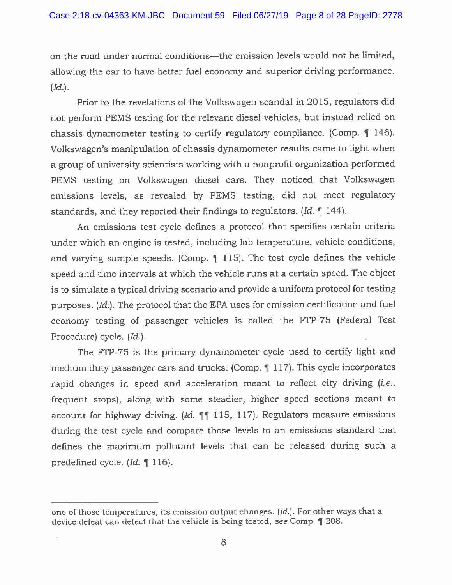on the road under normal conditions—the emission levels would not be limited, allowing the car to have better fuel economy and superior driving performance.  $(Id.).$ 

Prior to the revelations of the Volkswagen scandal in 2015, regulators did not perform PEMS testing for the relevant diesel vehicles, but instead relied on chassis dynamometer testing to certify regulatory compliance. (Comp. ¶ 146). Volkswagen's manipulation of chassis dynamometer results came to light when <sup>a</sup> group of university scientists working with <sup>a</sup> nonprofit organization performed PEMS testing on Volkswagen diesel cars. They noticed that Volkswagen emissions levels, as revealed by PEMS testing, did not meet regulatory standards, and they reported their findings to regulators.  $Id. \parallel 144$ .

An emissions test cycle defines <sup>a</sup> protocol that specifies certain criteria under which an engine is tested, including lab temperature, vehicle conditions, and varying sample speeds. (Comp. ¶ 115). The test cycle defines the vehicle spee<sup>d</sup> and time intervals at which the vehicle runs at <sup>a</sup> certain speed. The object is to simulate <sup>a</sup> typical driving scenario and provide <sup>a</sup> uniform protocol for testing purposes. (Id.). The protocol that the EPA uses for emission certification and fuel economy testing of passenger vehicles is called the FTP-75 (Federal Test Procedure) cycle. (Id.).

The FTP-75 is the primary dynamometer cycle used to certify light and medium duty passenger cars and trucks. (Comp. ¶ 117). This cycle incorporates rapid changes in speed and acceleration meant to reflect city driving (*i.e.*, frequent stops), along with some steadier, higher speed sections meant to account for highway driving. (Id.  $|| \cdot || \cdot ||$  115, 117). Regulators measure emissions during the test cycle and compare those levels to an emissions standard that defines the maximum pollutant levels that can be released during such <sup>a</sup> predefined cycle. (Id. ¶ 116).

one of those temperatures, its emission output changes. (Id.). For other ways that <sup>a</sup> device defeat can detect that the vehicle is being tested, see Comp. ¶ 208.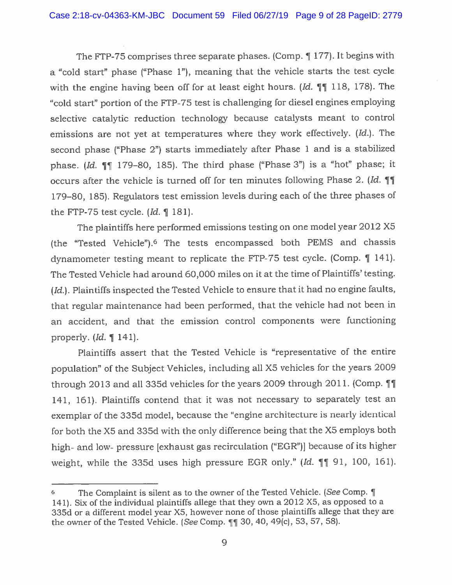The FTP-75 comprises three separate phases. (Comp.  $\P$  177). It begins with <sup>a</sup> "cold start" <sup>p</sup>hase ("Phase 1"), meaning that the vehicle starts the test cycle with the engine having been off for at least eight hours. (Id.  $\P$ ] 118, 178). The "cold start" portion of the FTP-75 test is challenging for diesel engines employing selective catalytic reduction technology because catalysts meant to control emissions are not ye<sup>t</sup> at temperatures where they work effectively. (Id.). The second <sup>p</sup>hase ("Phase 2") starts immediately after Phase <sup>1</sup> and is <sup>a</sup> stabilized phase. (Id.  $\P$ ] 179-80, 185). The third phase ("Phase 3") is a "hot" phase; it occurs after the vehicle is turned off for ten minutes following Phase 2.  $Id. \P\P$ 179—80, 185). Regulators test emission levels during each of the three <sup>p</sup>hases of the FTP-75 test cycle. (Id. 181).

The <sup>p</sup>laintiffs here performed emissions testing on one model year <sup>2012</sup> X5 (the "Tested Vehicle").6 The tests encompasse<sup>d</sup> both PEMS and chassis dynamometer testing meant to replicate the FTP-75 test cycle. (Comp. ¶ 141). The Tested Vehicle had around 60,000 miles on it at the time of Plaintiffs' testing. (*Id.*). Plaintiffs inspected the Tested Vehicle to ensure that it had no engine faults, that regular maintenance had been performed, that the vehicle had not been in an accident, and that the emission control components were functioning properly. (Id. ¶ 141).

Plaintiffs assert that the Tested Vehicle is "representative of the entire population" of the Subject Vehicles, including all X5 vehicles for the years <sup>2009</sup> through 2013 and all 335d vehicles for the years 2009 through 2011. (Comp.  $\P\P$ 141, 161). Plaintiffs contend that it was not necessary to separately test an exemplar of the 335d model, because the "engine architecture is nearly identical for both the X5 and 335d with the only difference being that the X5 employs both high- and low- pressure [exhaust gas recirculation ("EGR")] because of its higher weight, while the 335d uses high pressure EGR only."  $Id. \parallel \parallel 91$ , 100, 161).

<sup>6</sup> The Complaint is silent as to the owner of the Tested Vehicle. (See Comp. ¶ 141). Six of the individual <sup>p</sup>laintiffs allege that they own <sup>a</sup> <sup>2012</sup> X5, as oppose<sup>d</sup> to <sup>a</sup> 335d or <sup>a</sup> different model year X5, however none of those <sup>p</sup>laintiffs allege that they are the owner of the Tested Vehicle. (See Comp.  $\P$  30, 40, 49(c), 53, 57, 58).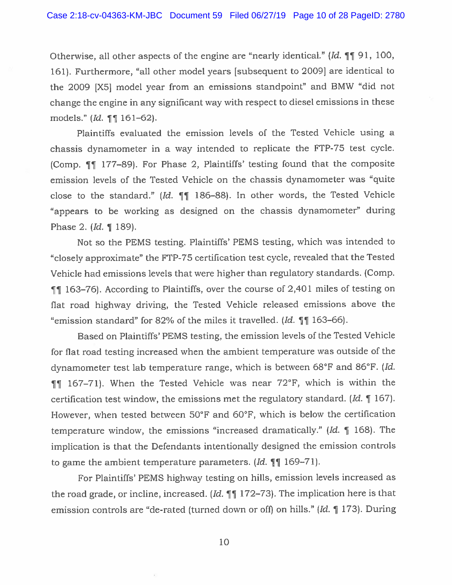Otherwise, all other aspects of the engine are "nearly identical." (Id. ¶ 91, 100, 161). Furthermore, "all other model years (subsequent to 2009} are identical to the 2009 [X5j model year from an emissions standpoint" and BMW "did not change the engine in any significant way with respec<sup>t</sup> to diesel emissions in these models." (*Id.*  $\P$  161–62).

Plaintiffs evaluated the emission levels of the Tested Vehicle using <sup>a</sup> chassis dynamometer in <sup>a</sup> way intended to replicate the FFP-75 test cycle. (Comp. ¶ 177—89). For Phase 2, Plaintiffs' testing found that the composite emission levels of the Tested Vehicle on the chassis dynamometer was "quite close to the standard."  $Id. \parallel \parallel 186-88$ . In other words, the Tested Vehicle "appears to be working as designed on the chassis dynamometer" during Phase 2. (Id. ¶ 189).

Not so the PEMS testing. Plaintiffs' PEMS testing, which was intended to "closely approximate" the FTP-75 certification test cycle, revealed that the Tested Vehicle had emissions levels that were higher than regulatory standards. (Comp. ¶9 163—76). According to Plaintiffs, over the course of 2,401 miles of testing on flat road highway driving, the Tested Vehicle released emissions above the "emission standard" for 82% of the miles it travelled.  $Id. \text{ and } 163-66$ .

Based on Plaintiffs' PEMS testing, the emission levels of the Tested Vehicle for flat road testing increased when the ambient temperature was outside of the dynamometer test lab temperature range, which is between 68°F and 86°F. (Id.  $\P$  167–71). When the Tested Vehicle was near 72°F, which is within the certification test window, the emissions met the regulatory standard.  $Id. \parallel 167$ . However, when tested between 50°F and 60°F, which is below the certification temperature window, the emissions "increased dramatically." (Id. ¶ 168). The implication is that the Defendants intentionally designed the emission controls to game the ambient temperature parameters.  $Id. \parallel \parallel 169-71$ .

For Plaintiffs' PEMS highway testing on hills, emission levels increased as the road grade, or incline, increased. (Id.  $\P$  $\P$  172–73). The implication here is that emission controls are "de-rated (turned down or off) on hills." (Id. ¶ 173). During

10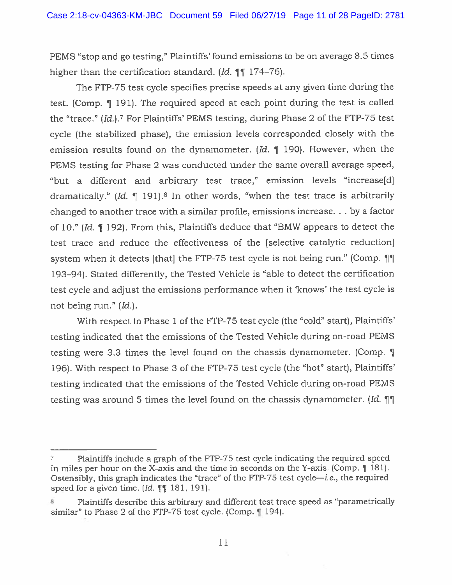PEMS "stop and go testing," Plaintiffs' found emissions to be on average 8.5 times higher than the certification standard. (Id.  $\P\P$  174–76).

The FTP-75 test cycle specifies precise speeds at any given time during the test. (Comp. 1 191). The required spee<sup>d</sup> at each point during the test is called the "trace." (Id.).<sup>7</sup> For Plaintiffs' PEMS testing, during Phase 2 of the FTP-75 test cycle (the stabilized <sup>p</sup>hase), the emission levels corresponded closely with the emission results found on the dynamometer. (Id.  $\parallel$  190). However, when the PEMS testing for Phase <sup>2</sup> was conducted under the same overall average speed, "but <sup>a</sup> different and arbitrary test trace," emission levels "increase[dj dramatically." (Id.  $\parallel$  191).<sup>8</sup> In other words, "when the test trace is arbitrarily changed to another trace with <sup>a</sup> similar profile, emissions increase. . . by <sup>a</sup> factor of 10." (Id. ¶ 192). From this, Plaintiffs deduce that "BMW appears to detect the test trace and reduce the effectiveness of the [selective catalytic reductionj system when it detects [that] the FTP-75 test cycle is not being run." (Comp.  $\P\P$ 193—94). Stated differently, the Tested Vehicle is "able to detect the certification test cycle and adjust the emissions performance when it 'knows' the test cycle is not being run." (Id.).

With respect to Phase 1 of the FTP-75 test cycle (the "cold" start), Plaintiffs' testing indicated that the emissions of the Tested Vehicle during on-road PEMS testing were 3,3 times the level found on the chassis dynamometer. (Comp. ¶ 196). With respect to Phase 3 of the FTP-75 test cycle (the "hot" start), Plaintiffs' testing indicated that the emissions of the Tested Vehicle during on-road PEMS testing was around 5 times the level found on the chassis dynamometer. (Id.  $\P$ ]

<sup>&</sup>lt;sup>7</sup> Plaintiffs include a graph of the FTP-75 test cycle indicating the required speed in miles per hour on the X-axis and the time in seconds on the Y-axis. (Comp. ¶ 181). Ostensibly, this graph indicates the "trace" of the FTP-75 test cycle—i.e., the required speed for a given time.  $Id. \mathcal{L} \mathcal{L} \mathcal{L} \mathcal{L} \mathcal{L} \mathcal{L} \mathcal{L} \mathcal{L} \mathcal{L} \mathcal{L} \mathcal{L} \mathcal{L} \mathcal{L} \mathcal{L} \mathcal{L} \mathcal{L} \mathcal{L} \mathcal{L} \mathcal{L} \mathcal{L} \mathcal{L} \mathcal{L} \mathcal{L} \mathcal{L} \mathcal{L} \mathcal{L} \mathcal{L} \mathcal{L} \mathcal{L} \mathcal{L} \mathcal{L} \mathcal{L} \math$ 

<sup>&</sup>lt;sup>8</sup> Plaintiffs describe this arbitrary and different test trace speed as "parametrically similar" to Phase 2 of the FTP-75 test cycle. (Comp. 194).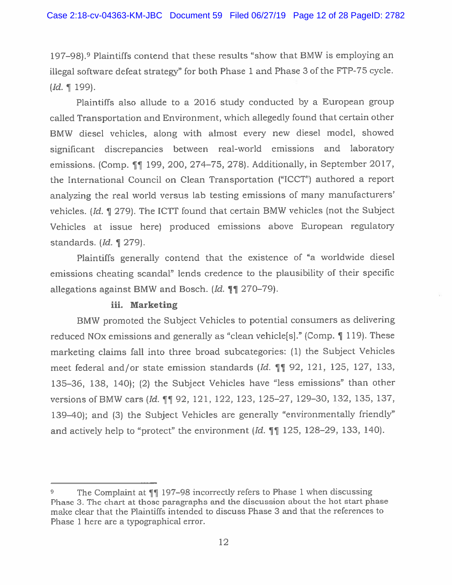197—98).° Plaintiffs contend that these results "show that BMW is employing an illegal software defeat strategy" for both Phase 1 and Phase 3 of the FTP-75 cycle.  $(Id. \mathbf{199}).$ 

Plaintiffs also allude to <sup>a</sup> 2016 study conducted by <sup>a</sup> European group called Transportation and Environment, which allegedly found that certain other BMW diesel vehicles, along with almost every new diesel model, showed significant discrepancies between real-world emissions and laboratory emissions. (Comp.  $\P$ <sup>199</sup>, 200, 274-75, 278). Additionally, in September 2017, the International Council on Clean Transportation ("ICCT") authored <sup>a</sup> repor<sup>t</sup> analyzing the real world versus lab testing emissions of many manufacturers' vehicles. (Id. ¶ 279). The ICTT found that certain BMW vehicles (not the Subject Vehicles at issue here) produced emissions above European regulatory standards. (Id. ¶ 279).

Plaintiffs generally contend that the existence of "a worldwide diesel emissions cheating scandal" lends credence to the <sup>p</sup>lausibility of their specific allegations against BMW and Bosch. (Id.  $\P$  $\P$  270–79).

### iii. Marketing

BMW promoted the Subject Vehicles to potential consumers as delivering reduced NOx emissions and generally as "clean vehicle[s}." (Comp. ¶ 119). These marketing claims fall into three broad subcategories: (1) the Subject Vehicles meet federal and/or state emission standards (Id. ¶¶ 92, 121, 125, 127, 133, 135—36, 138, 140); (2) the Subject Vehicles have "less emissions" than other versions of BMW cars (Id. 11 92, 121, 122, 123, 125–27, 129–30, 132, 135, 137, 139—40); and (3) the Subject Vehicles are generally "environmentally friendly" and actively help to "protect" the environment  $Id. \P \P 125, 128-29, 133, 140$ .

The Complaint at  $\P$ <sup>197–98</sup> incorrectly refers to Phase 1 when discussing Phase 3. The chart at those paragraphs and the discussion about the hot start <sup>p</sup>hase make clear that the Plaintiffs intended to discuss Phase 3 and that the references to Phase 1 here are <sup>a</sup> typographical error.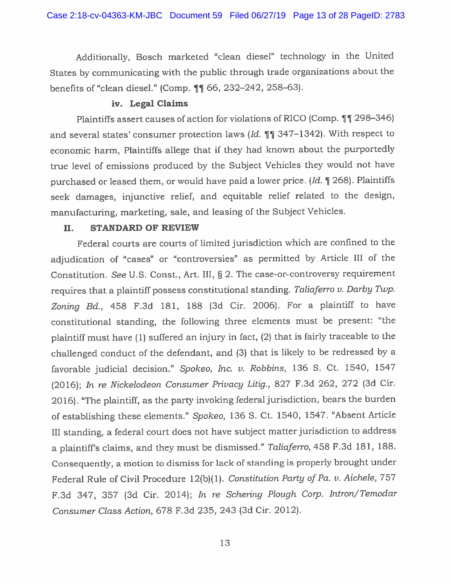Additionally, Bosch marketed "clean diesel" technology in the United States by communicating with the public through trade organizations about the benefits of "clean diesel." (Comp.  $\P\P$  66, 232–242, 258–63).

## iv. Legal Claims

Plaintiffs assert causes of action for violations of RICO (Comp. 11 298-346) and several states' consumer protection laws ( $Id. \P \P$  347–1342). With respect to economic harm, Plaintiffs allege that if they had known about the purportedly true level of emissions produced by the Subject Vehicles they would not have purchased or leased them, or would have paid <sup>a</sup> lower price. (Id. ¶ 268). Plaintiffs seek damages, injunctive relief, and equitable relief related to the design, manufacturing, marketing, sale, and leasing of the Subject Vehicles.

### II. STANDARD OF REVIEW

Federal courts are courts of limited jurisdiction which are confined to the adjudication of "cases" or "controversies" as permitted by Article III of the Constitution. Sec U.S. Const., Art. III, § 2. The case-or-controversy requirement requires that a plaintiff possess constitutional standing. Taliaferro v. Darby Twp. Zoning Bd., <sup>458</sup> F.3d 181, <sup>188</sup> (3d Cir. 2006). For <sup>a</sup> <sup>p</sup>laintiff to have constitutional standing, the following three elements must be present: "the <sup>p</sup>laintiff must have (1) suffered an injury in fact, (2) that is fairly traceable to the challenged conduct of the defendant, and (3) that is likely to be redressed by <sup>a</sup> favorable judicial decision." Spokeo, Inc. v. Robbins, <sup>136</sup> 5. Ct. 1540, <sup>1547</sup>  $(2016)$ ; In re Nickelodeon Consumer Privacy Litig., 827 F.3d 262, 272 (3d Cir. 2016). "The <sup>p</sup>laintiff, as the party invoking federal jurisdiction, bears the burden of establishing these elements." Spokeo, <sup>136</sup> 5. Ct. 1540, 1547. "Absent Article III standing, <sup>a</sup> federal court does not have subject matter jurisdiction to address <sup>a</sup> <sup>p</sup>laintiffs claims, and they must be dismissed." Taliaferro, <sup>458</sup> F.3d 181, 188. Consequently, <sup>a</sup> motion to dismiss for lack of standing is properly brought under Federal Rule of Civil Procedure 12(b)(1). Constitution Party of Pa. v. Aichele, 757 F.3d 347, 357 (3d Cir. 2014); In re Schering Plough Corp. Intron/Temodar Consumer Class Action, 678 F.3d 235, 243 (3d Cir. 2012).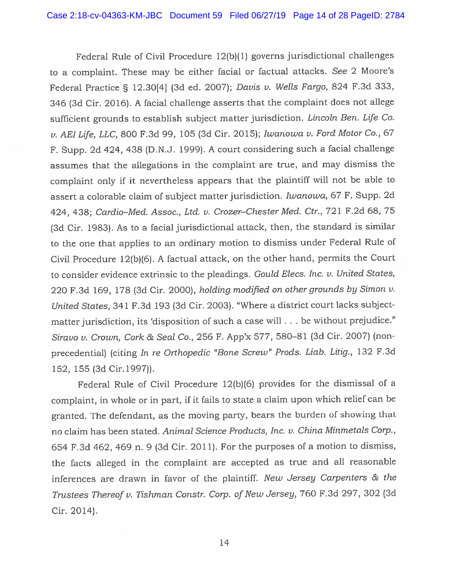Federal Rule of Civil Procedure 12(b)(l) governs jurisdictional challenges to <sup>a</sup> complaint. These may be either facial or factual attacks. See <sup>2</sup> Moore's Federal Practice § 12.30141 (3d ed. 2007); Davis v. Wells Fargo, <sup>824</sup> F.3d 333, <sup>346</sup> (3d Cir. 2016). <sup>A</sup> facial challenge asserts that the complaint does not allege sufficient grounds to establish subject matter jurisdiction. Lincoln Ben. Life Co. v. AEILfe, LLC, 800 F.3d 99, 105 (3d Cir. 2015); Iwanowa v. Ford Motor Co., <sup>67</sup> F. Supp. 2d 424, <sup>438</sup> (D.N.J. 1999). <sup>A</sup> court considering such <sup>a</sup> facial challenge assumes that the allegations in the complaint are true, and may dismiss the complaint only if it nevertheless appears that the <sup>p</sup>laintiff will not be able to assert <sup>a</sup> colorable claim of subject matter jurisdiction. Iwanowa, <sup>67</sup> F. Supp. 2d 424, 438; Cardio-Med. Assoc., Ltd. v. Crozer-Chester Med. Ctr., 721 F.2d 68, 75 (3d Cir. 1983). As to <sup>a</sup> facial jurisdictional attack, then, the standard is similar to the one that applies to an ordinary motion to dismiss under Federal Rule of Civil Procedure 12(b)(6). <sup>A</sup> factual attack, on the other hand, permits the Court to consider evidence extrinsic to the <sup>p</sup>leadings. Gould Elecs. Inc. v. United States, <sup>220</sup> F.3d 169, <sup>178</sup> (3d Cir. 2000), holding modified on other grounds by Simon v. United States, <sup>341</sup> F.3d 193 (3d Cir. 2003). "Where <sup>a</sup> district court lacks subjectmatter jurisdiction, its 'disposition of such a case will . . . be without prejudice." Siravo v. Crown, Cork & Seal Co., 256 F. App'x 577, 580-81 (3d Cir. 2007) (nonprecedential) (citing In re Orthopedic "Bone Screw" Prods. Liab. Litig., <sup>132</sup> F.3d 152, 155 (3d Cir.1997)).

Federal Rule of Civil Procedure 12(b)(6) provides for the dismissal of <sup>a</sup> complaint, in whole or in part, if it fails to state <sup>a</sup> claim upon which relief can be granted. The defendant, as the moving party, bears the burden of showing that no claim has been stated. Animal Science Products, Inc. v. China Minmetals Corp., <sup>654</sup> F.3d 462, <sup>469</sup> n. <sup>9</sup> (3d Cir. 2011). For the purposes of <sup>a</sup> motion to dismiss, the facts alleged in the complaint are accepted as true and all reasonable inferences are drawn in favor of the <sup>p</sup>laintiff. New Jersey Carpenters & the Trustees Thereof v. Tishman Constr. Corp. of New Jersey, <sup>760</sup> F.3d 297, 302 (3d Cir. 2014).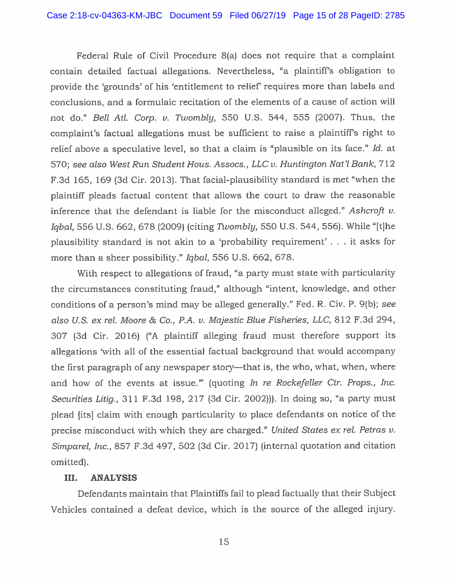Federal Rule of Civil Procedure 8(a) does not require that <sup>a</sup> complaint contain detailed factual allegations. Nevertheless, "a <sup>p</sup>laintiff's obligation to provide the 'grounds' of his 'entitlement to relief requires more than labels and conclusions, and <sup>a</sup> formulaic recitation of the elements of <sup>a</sup> cause of action will not do." Bell Atl. Corp. v. Twombly, 550 U.S. 544, 555 (2007). Thus, the complaint's factual allegations must be sufficient to raise <sup>a</sup> <sup>p</sup>laintiffs right to relief above a speculative level, so that a claim is "plausible on its face." Id. at 570; see also West Run Student Hous. Assocs., LLC v. Huntington Nat'l Bank, 712 F.3d 165, 169 (3d Cir. 2013). That facial-plausibility standard is met "when the <sup>p</sup>laintiff <sup>p</sup>leads factual content that allows the court to draw the reasonable inference that the defendant is liable for the misconduct alleged." Ashcroft  $v$ . Igbal, 556 U.S. 662, 678 (2009) (citing Twombly, 550 U.S. 544, 556). While "[t]he <sup>p</sup>lausibility standard is not akin to <sup>a</sup> 'probability requirement' . . . it asks for more than <sup>a</sup> sheer possibility." Iqbal, 556 U.S. 662, 678.

With respec<sup>t</sup> to allegations of fraud, "a party must state with particularity the circumstances constituting fraud," although "intent, knowledge, and other conditions of <sup>a</sup> person's mind may be alleged generally." Fed. R. Civ. P. 9(b); see also U.S. ex rd. Moore & Co., P.A. v. Majestic Blue Fisheries, LLC, 812 F.3d 294, 307 (3d Cir. 2016) ("A <sup>p</sup>laintiff alleging fraud must therefore suppor<sup>t</sup> its allegations 'with all of the essential factual background that would accompany the first paragrap<sup>h</sup> of any newspaper story—that is, the who, what, when, where and how of the events at issue."" (quoting In re Rockefeller Ctr. Props., Inc. Securities Litig., 311 F.3d 198, 217 (3d Cir. 2002))). In doing so, "a party must <sup>p</sup>lead [its] claim with enoug<sup>h</sup> particularity to <sup>p</sup>lace defendants on notice of the precise misconduct with which they are charged." United States ex rel. Petras  $v$ . Simparel, Inc., 857 F.3d 497, 502 (3d Cir. 2017) (internal quotation and citation omitted).

## III. ANALYSIS

Defendants maintain that Plaintiffs fail to <sup>p</sup>lead factually that their Subject Vehicles contained <sup>a</sup> defeat device, which is the source of the alleged injury.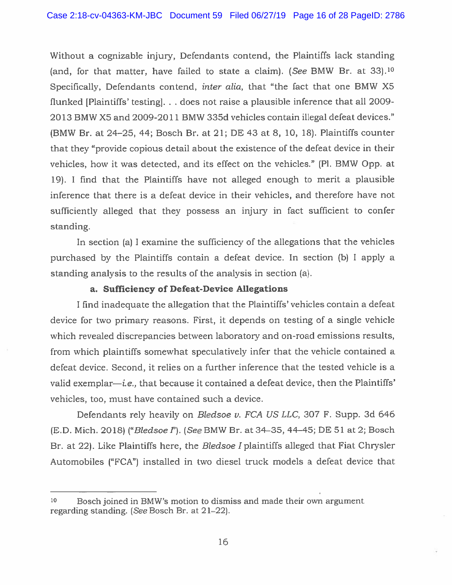Without <sup>a</sup> cognizable injury, Defendants contend, the Plaintiffs lack standing (and, for that matter, have failed to state a claim). (See BMW Br. at 33).<sup>10</sup> Specifically, Defendants contend, *inter alia*, that "the fact that one BMW X5 flunked [Plaintiffs' testing]. . . does not raise a plausible inference that all 2009-2013 BMW X5 and 2009-2011 BMW 335d vehicles contain illegal defeat devices." (BMW Br. at 24—25, 44; Bosch Br. at 21; DE 43 at 8, 10, 18). Plaintiffs counter that they "provide copious detail about the existence of the defeat device in their vehicles, how it was detected, and its effect on the vehicles." (P1. BMW Opp. at 19). 1 find that the Plaintiffs have not alleged enough to merit <sup>a</sup> plausible inference that there is <sup>a</sup> defeat device in their vehicles, and therefore have not sufficiently alleged that they possess an injury in fact sufficient to confer standing.

In section (a) I examine the sufficiency of the allegations that the vehicles purchased by the Plaintiffs contain <sup>a</sup> defeat device. In section (b) <sup>I</sup> apply <sup>a</sup> standing analysis to the results of the analysis in section (a).

## a. Sufficiency of Defeat-Device Allegations

<sup>I</sup> find inadequate the allegation that the Plaintiffs' vehicles contain <sup>a</sup> defeat device for two primary reasons. First, it depends on testing of <sup>a</sup> single vehicle which revealed discrepancies between laboratory and on-road emissions results, from which <sup>p</sup>laintiffs somewhat speculatively infer that the vehicle contained <sup>a</sup> defeat device. Second, it relies on <sup>a</sup> further inference that the tested vehicle is <sup>a</sup> valid exemplar—i.e., that because it contained <sup>a</sup> defeat device, then the Plaintiffs' vehicles, too, must have contained such <sup>a</sup> device.

Defendants rely heavily on Bledsoe v. FCA US LLC, 307 F. Supp. 3d 646 (E.D. Mich. 2018) ("Bledsoe I"). (See BMW Br. at 34–35, 44–45; DE 51 at 2; Bosch Br. at 22). Like Plaintiffs here, the *Bledsoe I* plaintiffs alleged that Fiat Chrysler Automobiles ("FCA") installed in two diesel truck models <sup>a</sup> defeat device that

 $10$  Bosch joined in BMW's motion to dismiss and made their own argument regarding standing. (See Bosch Br. at 21—22).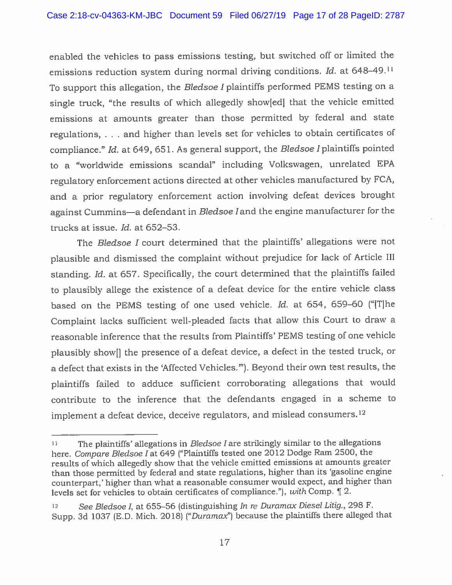enabled the vehicles to pass emissions testing, but switched off or limited the emissions reduction system during normal driving conditions. Id. at  $648-49$ .<sup>11</sup> To support this allegation, the Bledsoe I plaintiffs performed PEMS testing on a single truck, "the results of which allegedly show[edj that the vehicle emitted emissions at amounts greater than those permitted by federal and state regulations, . . . and higher than levels set for vehicles to obtain certificates of compliance." Id. at 649, 651. As general support, the Bledsoe I plaintiffs pointed to <sup>a</sup> "worldwide emissions scandal" including Volkswagen, unrelated EPA regulatory enforcement actions directed at other vehicles manufactured by FCA, and <sup>a</sup> prior regulatory enforcement action involving defeat devices brought against Cummins—a defendant in Bledsoe land the engine manufacturer for the trucks at issue. Id. at 652—53.

The Bledsoe <sup>I</sup> court determined that the plaintiffs' allegations were not <sup>p</sup>lausible and dismissed the complaint without prejudice for lack of Article Ill standing. Id. at 657. Specifically, the court determined that the plaintiffs failed to <sup>p</sup>lausibly allege the existence of <sup>a</sup> defeat device for the entire vehicle class based on the PEMS testing of one used vehicle. Id. at 654, 659—60 ("[Tjhe Complaint lacks sufficient well-pleaded facts that allow this Court to draw <sup>a</sup> reasonable inference that the results from Plaintiffs' PEMS testing of one vehicle <sup>p</sup>lausibly showfl the presence of <sup>a</sup> defeat device, <sup>a</sup> defect in the tested truck, or <sup>a</sup> defect that exists in the 'Affected Vehicles.'"). Beyond their own test results, the <sup>p</sup>laintiffs failed to adduce sufficient corroborating allegations that would contribute to the inference that the defendants engaged in <sup>a</sup> scheme to implement a defeat device, deceive regulators, and mislead consumers.<sup>12</sup>

<sup>&</sup>lt;sup>11</sup> The plaintiffs' allegations in *Bledsoe I* are strikingly similar to the allegations here. Compare Bledsoe Iat <sup>649</sup> ("Plaintiffs tested one <sup>2012</sup> Dodge Ram 2500, the results of which allegedly show that the vehicle emitted emissions at amounts greater than those permitted by federal and state regulations, higher than its 'gasoline engine counterpart,' higher than what <sup>a</sup> reasonable consumer would expect, and higher than levels set for vehicles to obtain certificates of compliance."), with Comp. ¶ 2.

<sup>12</sup> See Bledsoe I, at 655–56 (distinguishing In re Duramax Diesel Litig., 298 F. Supp. 3d 1037 (E.D. Mich. 2018) ("Duramax") because the plaintiffs there alleged that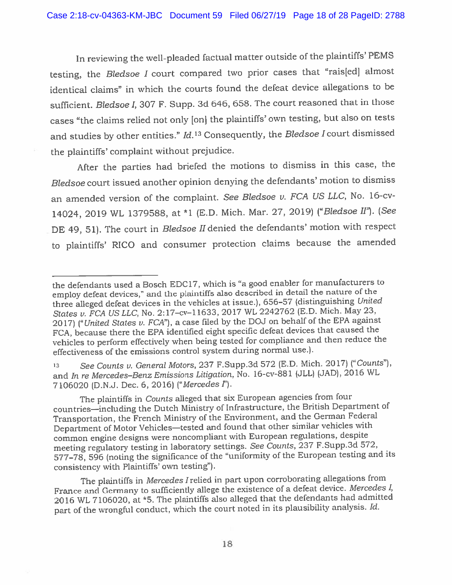In reviewing the well-pleaded factual matter outside of the <sup>p</sup>laintiffs' PEMS testing, the Bledsoe I court compared two prior cases that "rais[ed] almost identical claims" in which the courts found the defeat device allegations to be sufficient. Bledsoe I, <sup>307</sup> F. Supp. 3d 646, 658. The court reasoned that in those cases "the claims relied not only [on] the <sup>p</sup>laintiffs' own testing, but also on tests and studies by other entities."  $Id$ .<sup>13</sup> Consequently, the *Bledsoe I* court dismissed the <sup>p</sup>laintiffs' complaint without prejudice.

After the parties had briefed the motions to dismiss in this case, the Bledsoe court issued another opinion denying the defendants' motion to dismiss an amended version of the complaint. See Bledsoe v. FCA US LLC, No. 16-cv-14024, 2019 WL 1379588, at \*1 (E.D. Mich. Mar. 27, 2019) ("Bledsoe II"). (See DE 49, 51). The court in *Bledsoe II* denied the defendants' motion with respect to <sup>p</sup>laintiffs' RICO and consumer protection claims because the amended

<sup>13</sup> See Counts u. General Motors, <sup>237</sup> F.Supp.3d <sup>572</sup> (E.D. Mich. 2017) ("Counts"), and In re Mercedes-Benz Emissions Litigation, No. 16-cv-881 (JLL) (JAD), 2016 WL 7106020 (D.N.J. Dec. 6,2016) ("Mercedes?').

the defendants used <sup>a</sup> Bosch EDC17, which is "a goo<sup>d</sup> enabler for manufacturers to employ defeat devices," and the <sup>p</sup>laintiffs also described in detail the nature of the three alleged defeat devices in the vehicles at issue.), 656—57 (distinguishing United States v. FCA US LLC, No. 2:17-cv-11633, 2017 WL 2242762 (E.D. Mich. May 23, 2017) ("United States v. FCA"), a case filed by the DOJ on behalf of the EPA against FCA, because there the EPA identified eight specific defeat devices that caused the vehicles to perform effectively when being tested for compliance and then reduce the effectiveness of the emissions control system during normal use.).

The <sup>p</sup>laintiffs in Counts alleged that six European agencies from four countries—including the Dutch Ministry of Infrastructure, the British Department of Transportation, the French Ministry of the Environment, and the German Federal Department of Motor Vehicles—tested and found that other similar vehicles with common engine designs were noncompliant with European regulations, despite meeting regulatory testing in laboratory settings. See Counts, <sup>237</sup> F.Supp.3d 572, 577—78, <sup>596</sup> (noting the significance of the "uniformity of the European testing and its consistency with Plaintiffs' own testing").

The <sup>p</sup>laintiffs in Mercedes Irelied in par<sup>t</sup> upon corroborating allegations from France and Germany to sufficiently allege the existence of <sup>a</sup> defeat device. Mercedes I, 2016 WL 7106020, at \*5. The plaintiffs also alleged that the defendants had admitted par<sup>t</sup> of the wrongful conduct, which the court noted in its <sup>p</sup>lausibility analysis. Id.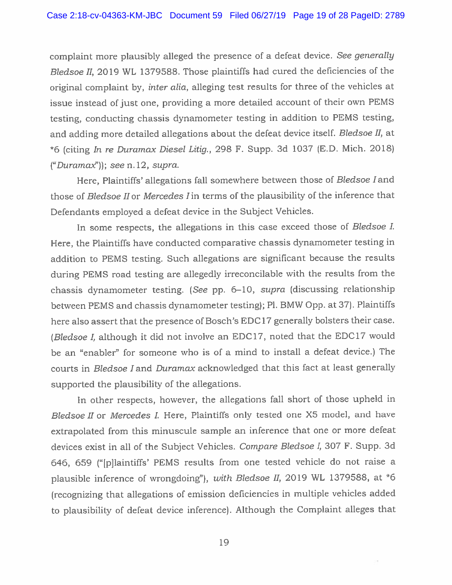complaint more <sup>p</sup>lausibly alleged the presence of <sup>a</sup> defeat device. See generally Bledsoe H, 2019 WL 1379588. Those <sup>p</sup>laintiffs had cured the deficiencies of the original complaint by, inter alia, alleging test results for three of the vehicles at issue instead of just one, providing <sup>a</sup> more detailed account of their own PEMS testing, conducting chassis dynamometer testing in addition to PEMS testing, and adding more detailed allegations about the defeat device itself. Bledsoe H, at \*6 (citing In re Duramax Diesel Litig., <sup>298</sup> F. Supp. 3d <sup>1037</sup> (E.D. Mich. 2018) ("Duramax")); see n. 12, supra.

Here, Plaintiffs' allegations fall somewhere between those of Bledsoe I and those of Bledsoe II or Mercedes  $I$  in terms of the plausibility of the inference that Defendants employed <sup>a</sup> defeat device in the Subject Vehicles.

In some respects, the allegations in this case exceed those of Bledsoe I. Here, the Plaintiffs have conducted comparative chassis dynamometer testing in addition to PEMS testing. Such allegations are significant because the results during PEMS road testing are allegedly irreconcilable with the results from the chassis dynamometer testing. (See pp. 6—10, supra (discussing relationship between PEMS and chassis dynamometer testing); P1. BMW Opp. at 37). Plaintiffs here also assert that the presence of Bosch's EDC17 generally bolsters their case. (Bledsoe I, although it did not involve an EDC17, noted that the EDC17 would be an "enabler" for someone who is of <sup>a</sup> mind to install <sup>a</sup> defeat device.) The courts in Bledsoe I and Duramax acknowledged that this fact at least generally supported the <sup>p</sup>lausibility of the allegations.

In other respects, however, the allegations fall short of those upheld in Bledsoe II or Mercedes I. Here, Plaintiffs only tested one X5 model, and have extrapolated from this minuscule sample an inference that one or more defeat devices exist in all of the Subject Vehicles. Compare Bledsoe I, 307 F. Supp. 3d 646, <sup>659</sup> ("[p]laintiffs' PEMS results from one tested vehicle do not raise <sup>a</sup> plausible inference of wrongdoing"), with Bledsoe II, 2019 WL 1379588, at \*6 (recognizing that allegations of emission deficiencies in multiple vehicles added to <sup>p</sup>lausibility of defeat device inference). Although the Complaint alleges that

19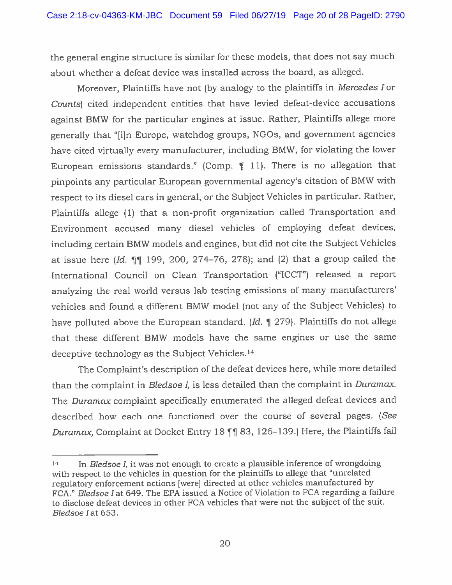the genera<sup>l</sup> engine structure is similar for these models, that does not say much about whether <sup>a</sup> defeat device was installed across the board, as alleged.

Moreover, Plaintiffs have not (by analogy to the <sup>p</sup>laintiffs in Mercedes <sup>I</sup> or Counts) cited independent entities that have levied defeat-device accusations against BMW for the particular engines at issue. Rather, Plaintiffs allege more generally that "[i]n Europe, watchdog groups, NOOs, and governmen<sup>t</sup> agencies have cited virtually every manufacturer, including BMW, for violating the lower European emissions standards." (Comp. ¶ 11). There is no allegation that <sup>p</sup>inpoints any particular European governmental agency's citation of BMW with respec<sup>t</sup> to its diesel cars in general, or the Subject Vehicles in particular. Rather, Plaintiffs allege (1) that <sup>a</sup> non-profit organization called Transportation and Environment accused many diesel vehicles of employing defeat devices, including certain BMW models and engines, but did not cite the Subject Vehicles at issue here (Id.  $\P$ ] 199, 200, 274–76, 278); and (2) that a group called the International Council on Clean Transportation ("ICCT") released <sup>a</sup> repor<sup>t</sup> analyzing the real world versus lab testing emissions of many manufacturers' vehicles and found <sup>a</sup> different BMW model (not any of the Subject Vehicles) to have polluted above the European standard. (Id.  $\parallel$  279). Plaintiffs do not allege that these different BMW models have the same engines or use the same deceptive technology as the Subject Vehicles.'4

The Complaint's description of the defeat devices here, while more detailed than the complaint in Bledsoe  $I$ , is less detailed than the complaint in Duramax. The Duramax complaint specifically enumerated the alleged defeat devices and described how each one functioned over the course of several pages. (See Duramax, Complaint at Docket Entry 18  $\P$  83, 126–139.) Here, the Plaintiffs fail

<sup>&</sup>lt;sup>14</sup> In Bledsoe I, it was not enough to create a plausible inference of wrongdoing with respec<sup>t</sup> to the vehicles in question for the <sup>p</sup>laintiffs to allege that "unrelated regulatory enforcement actions [were) directed at other vehicles manufactured by FCA." Bledsoe I at 649. The EPA issued a Notice of Violation to FCA regarding a failure to disclose defeat devices in other FCA vehicles that were not the subject of the suit. Bledsoe Iat 653.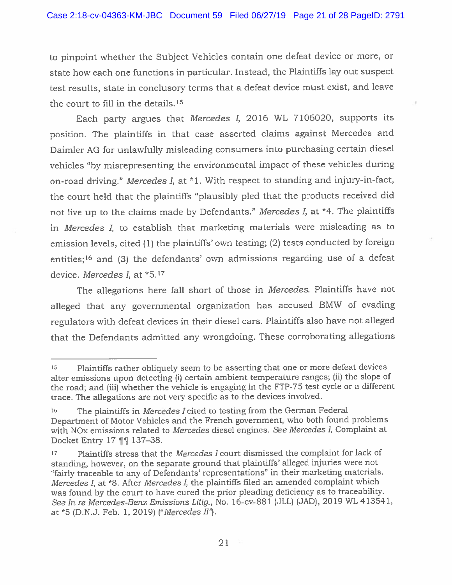to <sup>p</sup>inpoint whether the Subject Vehicles contain one defeat device or more, or state how each one functions in particular. Instead, the Plaintiffs lay out suspec<sup>t</sup> test results, state in conclusory terms that <sup>a</sup> defeat device must exist, and leave the court to fill in the details.15

Each party argues that Mercedes 1, <sup>2016</sup> WL 7106020, supports its position. The <sup>p</sup>laintiffs in that case asserted claims against Mercedes and Daimler AG for unlawfully misleading consumers into purchasing certain diesel vehicles "by misrepresenting the environmental impact of these vehicles during on-road driving." Mercedes I, at \*1. With respec<sup>t</sup> to standing and injury-in-fact, the court held that the <sup>p</sup>laintiffs "plausibly <sup>p</sup>led that the products received did not live up to the claims made by Defendants." Mercedes I, at \*4. The plaintiffs in Mercedes I, to establish that marketing materials were misleading as to emission levels, cited (1) the <sup>p</sup>laintiffs' own testing; (2) tests conducted by foreign entities;<sup>16</sup> and (3) the defendants' own admissions regarding use of a defeat device. Mercedes I, at \*5.17

The allegations here fall short of those in *Mercedes*. Plaintiffs have not alleged that any governmental organization has accused BMW of evading regulators with defeat devices in their diesel cars, Plaintiffs also have not alleged that the Defendants admitted any wrongdoing. These corroborating allegations

<sup>15</sup> Plaintiffs rather obliquely seem to be asserting that one or more defeat devices alter emissions upon detecting (i) certain ambient temperature ranges; (ii) the slope of the road; and (iii) whether the vehicle is engaging in the FTP-75 test cycle or a different trace. The allegations are not very specific as to the devices involved.

<sup>&</sup>lt;sup>16</sup> The plaintiffs in *Mercedes I* cited to testing from the German Federal Department of Motor Vehicles and the French government, who both found problems with NO<sub>x</sub> emissions related to Mercedes diesel engines. See Mercedes I, Complaint at Docket Entry 17 **[1]** 137–38.

<sup>17</sup> Plaintiffs stress that the Mercedes I court dismissed the complaint for lack of standing, however, on the separate groun<sup>d</sup> that <sup>p</sup>laintiffs' alleged injuries were not "fairly traceable to any of Defendants' representations" in their marketing materials. Mercedes I, at \*8. After Mercedes I, the <sup>p</sup>laintiffs filed an amended complaint which was found by the court to have cured the prior <sup>p</sup>leading deficiency as to traceability. See In re Mercedes-Benz Emissions Litig., No. 16-cv-88l (JLL) (JAD), <sup>2019</sup> WL 413541, at  $*5$  (D.N.J. Feb. 1, 2019) ("Mercedes II").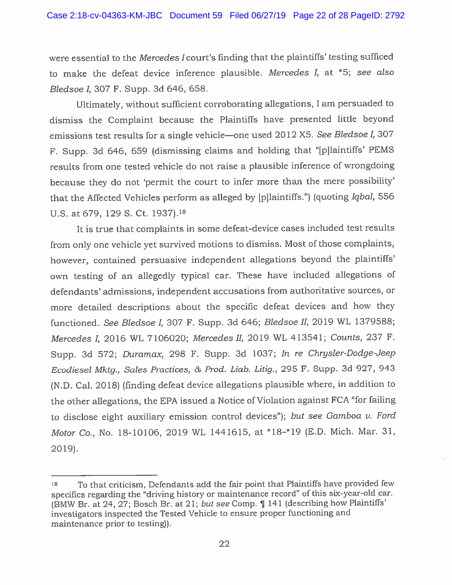were essential to the Mercedes Icourt's finding that the <sup>p</sup>laintiffs' testing sufficed to make the defeat device inference <sup>p</sup>lausible. Mercedes I, at \*5; see also Bledsoe 1, 307 F. Supp. 3d 646, 658.

Ultimately, without sufficient corroborating allegations, <sup>I</sup> am persuaded to dismiss the Complaint because the Plaintiffs have presented little beyond emissions test results for a single vehicle—one used 2012 X5. See Bledsoe I, 307 F. Supp. 3d 646, <sup>659</sup> (dismissing claims and holding that "[p]laintiffs' PEMS results from one tested vehicle do not raise <sup>a</sup> <sup>p</sup>lausible inference of wrongdoing because they do not 'permit the court to infer more than the mere possibility' that the Affected Vehicles perform as alleged by [p]laintiffs.") (quoting Iqbal, <sup>556</sup> U.S. at 679, 129 S. Ct. 1937).18

It is true that complaints in some defeat-device cases included test results from only one vehicle ye<sup>t</sup> survived motions to dismiss. Most of those complaints, however, contained persuasive independent allegations beyond the <sup>p</sup>laintiffs' oxvn testing of an allegedly typical car. These have included allegations of defendants' admissions, independent accusations from authoritative sources, or more detailed descriptions about the specific defeat devices and how they functioned. See Bledsoe I, <sup>307</sup> F. Supp. 3d 646; Bledsoe II, <sup>2019</sup> WL 1379588; Mercedes I, 2016 WL 7106020; Mercedes II, 2019 WL 413541; Counts, 237 F. Supp. 3d 572; Duramax, 298 F. Supp. 3d 1037; In re Chrysler-Dodge-Jeep Ecodiesel Mktg., Sales Practices, & Prod. Liab. Litig., <sup>295</sup> F. Supp. 3d 927, <sup>943</sup> (N.D. Cal. 2018) (finding defeat device allegations <sup>p</sup>lausible where, in addition to the other allegations, the EPA issued <sup>a</sup> Notice of Violation against FCA "for failing to disclose eight auxiliary emission control devices"); but see Gamboa v. Ford Motor Co., No. 18-10106, 2019 WL 1441615, at \*18-\*19 (E.D. Mich. Mar. 31, 2019).

 $18$  To that criticism, Defendants add the fair point that Plaintiffs have provided few specifics regarding the "driving history or maintenance record" of this six-year-old car. (BMW Br. at 24, 27; Bosch Br. at 21; but see Comp. ¶ <sup>141</sup> (describing how Plaintiffs' investigators inspected the Tested Vehicle to ensure proper functioning and maintenance prior to testing)).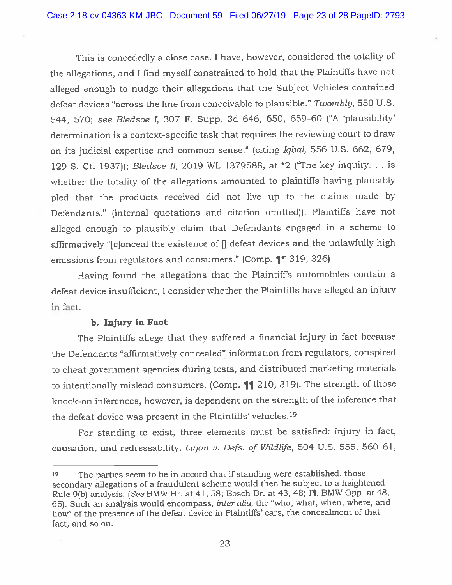This is concededly <sup>a</sup> close case. <sup>I</sup> have, however, considered the totality of the allegations, and <sup>I</sup> find myself constrained to hold that the Plaintiffs have not alleged enoug<sup>h</sup> to nudge their allegations that the Subject Vehicles contained defeat devices "across the line from conceivable to <sup>p</sup>lausible." Twombly, 550 U.S. 544, 570; see Bledsoe I, 307 F. Supp. 3d 646, 650, 659-60 ("A 'plausibility' determination is <sup>a</sup> context-specific task that requires the reviewing court to draw on its judicial expertise and common sense." (citing Iqbal, <sup>556</sup> U.S. 662, 679, <sup>129</sup> 5. Ct. 1937)); Bledsoe II, <sup>2019</sup> WL 1379588, at \*2 ("The key inquiry. . . is whether the totality of the allegations amounted to <sup>p</sup>laintiffs having <sup>p</sup>lausibly <sup>p</sup>led that the products received did not live up to the claims made by Defendants." (internal quotations and citation omitted)). Plaintiffs have not alleged enoug<sup>h</sup> to <sup>p</sup>lausibly claim that Defendants engage<sup>d</sup> in <sup>a</sup> scheme to affirmatively "[c]onceal the existence of [j defeat devices and the unlawfully high emissions from regulators and consumers." (Comp.  $\P\P$  319, 326).

Having found the allegations that the Plaintiff's automobiles contain <sup>a</sup> defeat device insufficient, <sup>I</sup> consider whether the Plaintiffs have alleged an injury in fact.

## b. Injury in Fact

The Plaintiffs allege that they suffered <sup>a</sup> financial injury in fact because the Defendants "affirmatively concealed" information from regulators, conspired to cheat governmen<sup>t</sup> agencies during tests, and distributed marketing materials to intentionally mislead consumers. (Comp. 11 210, 319). The strength of those knock-on inferences, however, is dependent on the strength of the inference that the defeat device was presen<sup>t</sup> in the Plaintiffs' vehicles.19

For standing to exist, three elements must be satisfied: injury in fact, causation, and redressability. Lujan v. Defs. of Wildlife, 504 U.S. 555, 560-61,

<sup>&</sup>lt;sup>19</sup> The parties seem to be in accord that if standing were established, those secondary allegations of <sup>a</sup> fraudulent scheme would then be subject to <sup>a</sup> heightened Rule 9(b) analysis. (See BMW Br. at 41, 58; Bosch Br. at 43, 48; P1. BMW Opp. at 48, 65). Such an analysis would encompass, *inter alia*, the "who, what, when, where, and how" of the presence of the defeat device in Plaintiffs' cars, the concealment of that fact, and so on.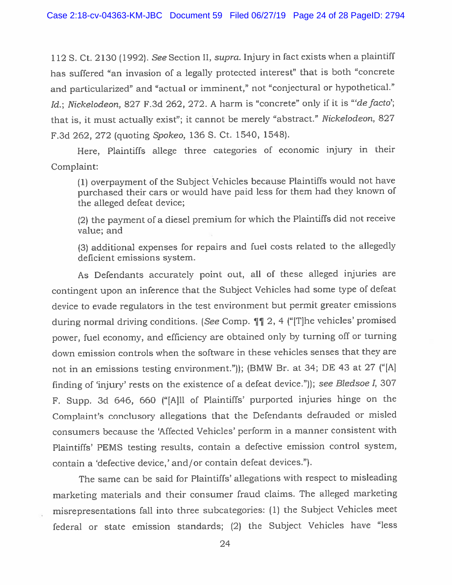112 S. Ct. 2130 (1992). See Section II, supra. Injury in fact exists when a plaintiff has suffered "an invasion of <sup>a</sup> legally protected interest" that is both "concrete and particularized" and "actual or imminent," not "conjectural or hypothetical." Id.; Nickelodeon, 827 F.3d 262, 272. A harm is "concrete" only if it is "'de facto'; that is, it must actually exist"; it cannot be merely "abstract." Nickelodeon, <sup>827</sup> F.3d 262, <sup>272</sup> (quoting Spokeo, 136 S. Ct. 1540, 1548).

Here, Plaintiffs allege three categories of economic injury in their Complaint:

(1) overpaymen<sup>t</sup> of the Subject Vehicles because Plaintiffs would not have purchased their cars or would have paid less for them had they known of the alleged defeat device;

(2) the paymen<sup>t</sup> of <sup>a</sup> diesel premium for which the Plaintiffs did not receive value; and

(3) additional expenses for repairs and fuel costs related to the allegedly deficient emissions system.

As Defendants accurately point out, all of these alleged injuries are contingent upon an inference that the Subject Vehicles had some type of defeat device to evade regulators in the test environment but permit greater emissions during normal driving conditions. (See Comp.  $\P\P$  2, 4 ("The vehicles' promised power, fuel economy, and efficiency are obtained only by turning off or turning down emission controls when the software in these vehicles senses that they are not in an emissions testing environment.")); (BMW Br. at 34; DE <sup>43</sup> at <sup>27</sup> ("[Al finding of 'injury' rests on the existence of <sup>a</sup> defeat device.")); see Bledsoe 1, <sup>307</sup> F. Supp. 3d 646, <sup>660</sup> ("[A]ll of Plaintiffs' purported injuries hinge on the Complaint's conclusory allegations that the Defendants defrauded or misled consumers because the 'Affected Vehicles' perform in <sup>a</sup> manner consistent with Plaintiffs' PEMS testing results, contain <sup>a</sup> defective emission control system, contain <sup>a</sup> 'defective device,' and/or contain defeat devices.").

The same can be said for Plaintiffs' allegations with respec<sup>t</sup> to misleading marketing materials and their consumer fraud claims. The alleged marketing misrepresentations fall into three subcategories: (1) the Subject Vehicles meet federal or state emission standards; (2) the Subject Vehicles have "less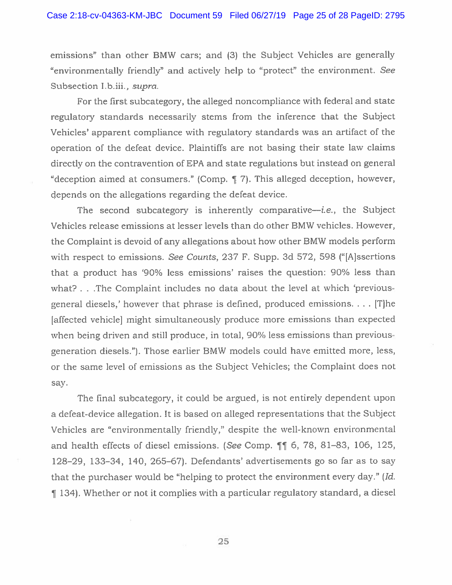emissions" than other BMW cars; and (3) the Subject Vehicles are generally "environmentally friendly" and actively help to "protect" the environment. See Subsection I.b.iii., supra.

For the first subcategory, the alleged noncompliance with federal and state regulatory standards necessarily stems from the inference that the Subject Vehicles' apparen<sup>t</sup> compliance with regulatory standards was an artifact of the operation of the defeat device. Plaintiffs are not basing their state law claims directly on the contravention of EPA and state regulations but instead on general "deception aimed at consumers." (Comp. 9 7). This alleged deception, however, depends on the allegations regarding the defeat device.

The second subcategory is inherently comparative—*i.e.*, the Subject Vehicles release emissions at lesser levels than do other BMW vehicles. However, the Complaint is devoid of any allegations about how other BMW models perform with respect to emissions. See Counts, 237 F. Supp. 3d 572, 598 ("Alssertions that <sup>a</sup> product has '90% less emissions' raises the question: 90% less than what? . . .The Complaint includes no data about the level at which 'previousgeneral diesels,' however that phrase is defined, produced emissions.... [T]he [affected vehicle] might simultaneously produce more emissions than expected when being driven and still produce, in total, 90% less emissions than previousgeneration diesels."). Those earlier BMW models could have emitted more, less, or the same level of emissions as the Subject Vehicles; the Complaint does not say.

The final subcategory, it could be argued, is not entirely dependent upon <sup>a</sup> defeat-device allegation. ft is based on alleged representations that the Subject Vehicles are "environmentally friendly," despite the well-known environmental and health effects of diesel emissions. (See Comp. 11 6, 78, 81–83, 106, 125, 128—29, 133—34, 140, 265—67). Defendants' advertisements go so far as to say that the purchaser would be "helping to protect the environment every day." (Id. ¶ 134). Whether or not it complies with <sup>a</sup> particular regulatory standard, <sup>a</sup> diesel

25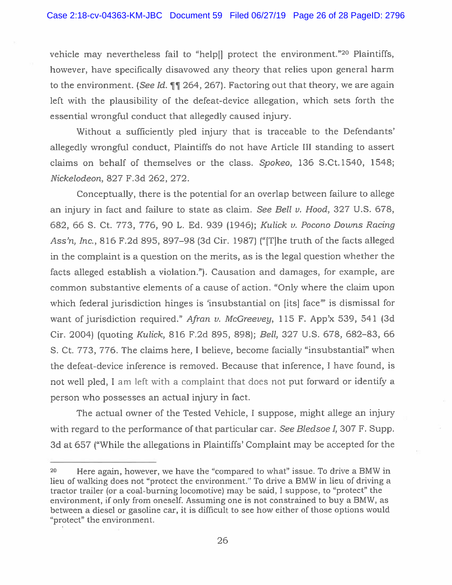vehicle may nevertheless fail to "help[] protect the environment."<sup>20</sup> Plaintiffs, however, have specifically disavowed any theory that relies upon general harm to the environment. (See Id. 11 264, 267). Factoring out that theory, we are again left with the plausibility of the defeat-device allegation, which sets forth the essential wrongful conduct that allegedly caused injury.

Without <sup>a</sup> sufficiently pled injury that is traceable to the Defendants' allegedly wrongful conduct, Plaintiffs do not have Article III standing to assert claims on behalf of themselves or the class. Spokeo, 136 S.Ct.l540, 1548; Nickelodeon, 827 F.3d 262, 272.

Conceptually, there is the potential for an overlap between failure to allege an injury in fact and failure to state as claim. See Bell  $\nu$ . Hood, 327 U.S. 678, 682, 66 5. Ct. 773, 776, 90 L. Ed. 939 (1946); Kulick v. Pocono Downs Racing Ass'n, Inc., 816 F.2d 895, 897—98 (3d Cir. 1987) ("[T]he truth of the facts alleged in the complaint is <sup>a</sup> question on the merits, as is the legal question whether the facts alleged establish <sup>a</sup> violation."). Causation and damages, for example, are common substantive elements of <sup>a</sup> cause of action. "Only where the claim upon which federal jurisdiction hinges is 'insubstantial on [its] face" is dismissal for want of jurisdiction required." Afran v. McGreevey, 115 F. App'x 539, 541 (3d Cir. 2004) (quoting Kulick, 816 F.2d 895, 898); Bell, 327 U.S. 678, 682—83, 66 S. Ct. 773, 776. The claims here, I believe, become facially "insubstantial" when the defeat-device inference is removed. Because that inference, I have found, is not well pled, <sup>I</sup> am left with <sup>a</sup> complaint that does not pu<sup>t</sup> forward or identify <sup>a</sup> person who possesses an actual injury in fact.

The actual owner of the Tested Vehicle, I suppose, might allege an injury' with regard to the performance of that particular car. See Bledsoe I, 307 F. Supp. 3d at 657 ("While the allegations in Plaintiffs' Complaint may be accepted for the

<sup>20</sup> Here again, however, we have the "compared to what" issue. To drive <sup>a</sup> BMW in lieu of walking does not "protect the environment." To drive <sup>a</sup> BMW in lieu of driving <sup>a</sup> tractor trailer (or <sup>a</sup> coal-burning locomotive) may be said, <sup>I</sup> suppose, to "protect" the environment, if only from oneself. Assuming one is not constrained to buy <sup>a</sup> BMW, as between <sup>a</sup> diesel or gasoline car, it is difficult to see how either of those options would "protect" the environment.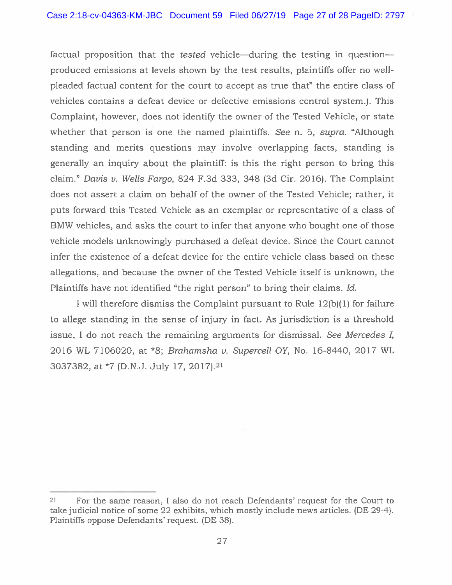factual proposition that the tested vehicle—during the testing in question produced emissions at levels shown by the test results, plaintiffs offer no wellpleaded factual content for the court to accep<sup>t</sup> as true that" the entire class of vehicles contains <sup>a</sup> defeat device or defective emissions control system.). This Complaint, however, does not identify the owner of the Tested Vehicle, or state whether that person is one the named plaintiffs. See n. 6, supra. "Although standing and merits questions may involve overlapping facts, standing is generally an inquiry about the plaintiff: is this the right person to bring this claim." Davis v. Wells Fargo, 824 F.3d 333, 348 (3d Cir. 2016). The Complaint does not assert <sup>a</sup> claim on behalf of the owner of the Tested Vehicle; rather, it puts forward this Tested Vehicle as an exemplar or representative of <sup>a</sup> class of BMW vehicles, and asks the court to infer that anyone who bought one of those vehicle models unknowingly purchased <sup>a</sup> defeat device. Since the Court cannot infer the existence of <sup>a</sup> defeat device for the entire vehicle class based on these allegations, and because the owner of the Tested Vehicle itself is unknown, the Plaintiffs have not identified "the right person" to bring their claims. Id.

I will therefore dismiss the Complaint pursuan<sup>t</sup> to Rule 12(b)(l) for failure to allege standing in the sense of injury in fact. As jurisdiction is <sup>a</sup> threshold issue, I do not reach the remaining arguments for dismissal. See Mercedes I, 2016 WL 7106020, at \*8; Brahamsha v. Supercell OY, No. 16-8440, 2017 WL 3037382, at \*7 (D.N.J. July 17, 2017).21

<sup>21</sup> For the same reason, I also do not reach Defendants' reques<sup>t</sup> for the Court to take judicial notice of some 22 exhibits, which mostly include news articles. (DE 29-4). Plaintiffs oppose Defendants' request. (DE 38).